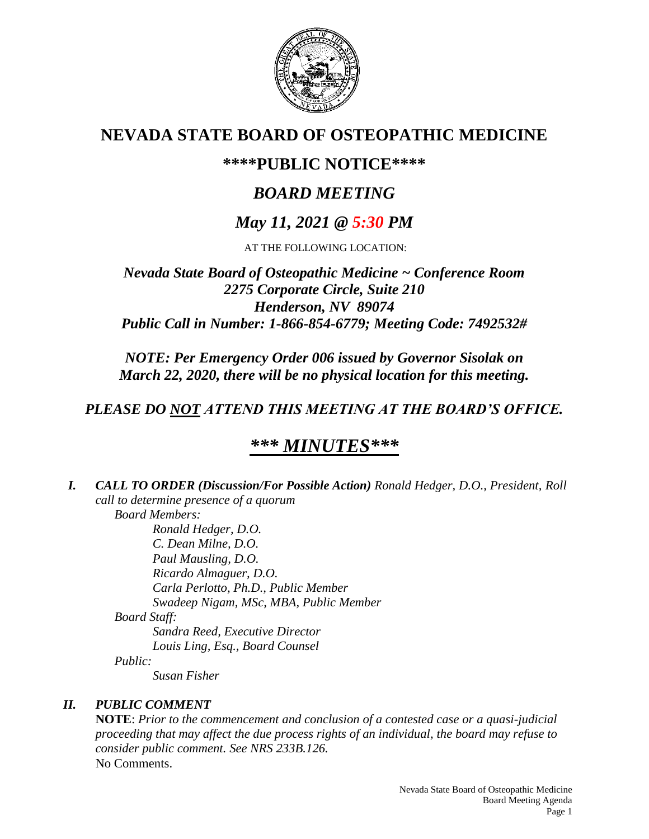

# **NEVADA STATE BOARD OF OSTEOPATHIC MEDICINE**

# **\*\*\*\*PUBLIC NOTICE\*\*\*\***

# *BOARD MEETING*

# *May 11, 2021 @ 5:30 PM*

AT THE FOLLOWING LOCATION:

## *Nevada State Board of Osteopathic Medicine ~ Conference Room 2275 Corporate Circle, Suite 210 Henderson, NV 89074 Public Call in Number: 1-866-854-6779; Meeting Code: 7492532#*

*NOTE: Per Emergency Order 006 issued by Governor Sisolak on March 22, 2020, there will be no physical location for this meeting.*

# *PLEASE DO NOT ATTEND THIS MEETING AT THE BOARD'S OFFICE.*

# *\*\*\* MINUTES\*\*\**

*I. CALL TO ORDER (Discussion/For Possible Action) Ronald Hedger, D.O., President, Roll call to determine presence of a quorum Board Members: Ronald Hedger, D.O. C. Dean Milne, D.O. Paul Mausling, D.O. Ricardo Almaguer, D.O. Carla Perlotto, Ph.D., Public Member Swadeep Nigam, MSc, MBA, Public Member*

*Board Staff:*

*Sandra Reed, Executive Director Louis Ling, Esq., Board Counsel Public:*

*Susan Fisher*

## *II. PUBLIC COMMENT*

**NOTE**: *Prior to the commencement and conclusion of a contested case or a quasi-judicial proceeding that may affect the due process rights of an individual, the board may refuse to consider public comment. See NRS 233B.126.* No Comments.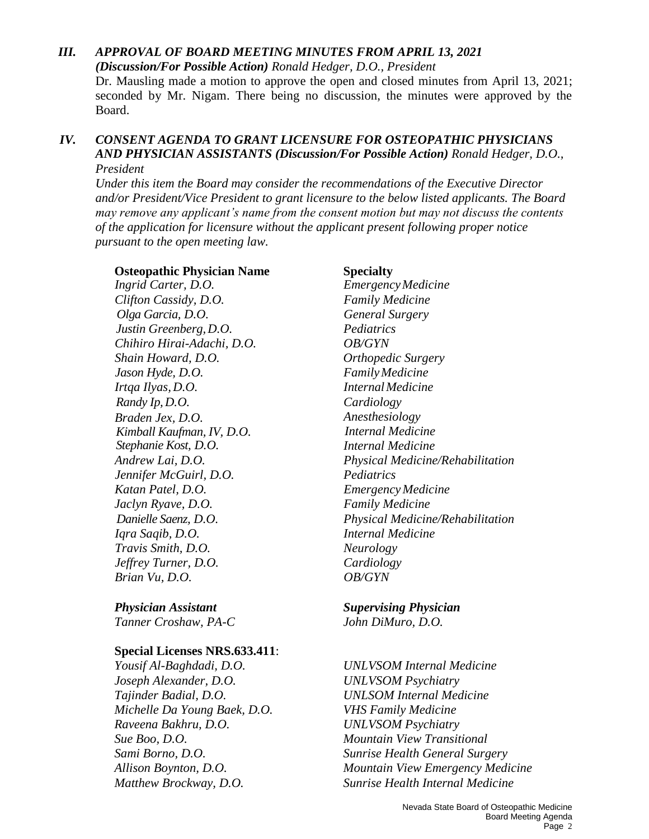## *III. APPROVAL OF BOARD MEETING MINUTES FROM APRIL 13, 2021*

*(Discussion/For Possible Action) Ronald Hedger, D.O., President* Dr. Mausling made a motion to approve the open and closed minutes from April 13, 2021; seconded by Mr. Nigam. There being no discussion, the minutes were approved by the Board.

#### *IV. CONSENT AGENDA TO GRANT LICENSURE FOR OSTEOPATHIC PHYSICIANS AND PHYSICIAN ASSISTANTS (Discussion/For Possible Action) Ronald Hedger, D.O., President*

*Under this item the Board may consider the recommendations of the Executive Director and/or President/Vice President to grant licensure to the below listed applicants. The Board may remove any applicant's name from the consent motion but may not discuss the contents of the application for licensure without the applicant present following proper notice pursuant to the open meeting law.*

#### **Osteopathic Physician Name Specialty**

*Ingrid Carter, D.O. EmergencyMedicine Clifton Cassidy, D.O. Family Medicine Olga Garcia, D.O. General Surgery Justin Greenberg,D.O. Pediatrics Chihiro Hirai-Adachi, D.O. OB/GYN Shain Howard, D.O. Orthopedic Surgery Jason Hyde, D.O. FamilyMedicine Irtqa Ilyas, D.O. InternalMedicine Randy Ip,D.O. Cardiology Braden Jex, D.O. Kimball Kaufman, IV, D.O. Stephanie Kost, D.O. Jennifer McGuirl, D.O. Pediatrics Katan Patel, D.O. EmergencyMedicine Jaclyn Ryave, D.O. Family Medicine Iqra Saqib, D.O. Internal Medicine Travis Smith, D.O. Neurology Jeffrey Turner, D.O. Cardiology Brian Vu, D.O. OB/GYN*

*Tanner Croshaw, PA-C John DiMuro, D.O.* 

#### **Special Licenses NRS.633.411**:

*Yousif Al-Baghdadi, D.O. UNLVSOM Internal Medicine Joseph Alexander, D.O. UNLVSOM Psychiatry Tajinder Badial, D.O. UNLSOM Internal Medicine Michelle Da Young Baek, D.O. VHS Family Medicine Raveena Bakhru, D.O. UNLVSOM Psychiatry Sue Boo, D.O. Mountain View Transitional* 

*Anesthesiology Internal Medicine Internal Medicine Andrew Lai, D.O. Physical Medicine/Rehabilitation Danielle Saenz, D.O. Physical Medicine/Rehabilitation*

# *Physician Assistant Supervising Physician*

*Sami Borno, D.O. Sunrise Health General Surgery Allison Boynton, D.O. Mountain View Emergency Medicine Matthew Brockway, D.O. Sunrise Health Internal Medicine*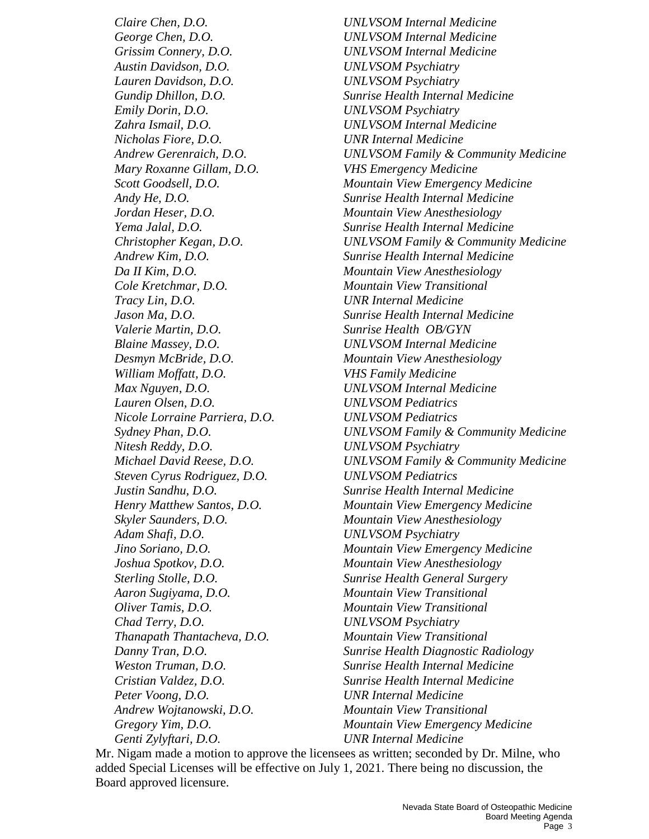*George Chen, D.O. UNLVSOM Internal Medicine Grissim Connery, D.O. UNLVSOM Internal Medicine Austin Davidson, D.O. UNLVSOM Psychiatry Lauren Davidson, D.O. UNLVSOM Psychiatry Emily Dorin, D.O. UNLVSOM Psychiatry Zahra Ismail, D.O. UNLVSOM Internal Medicine Nicholas Fiore, D.O. UNR Internal Medicine Mary Roxanne Gillam, D.O. VHS Emergency Medicine Jordan Heser, D.O. Mountain View Anesthesiology Da II Kim, D.O. Mountain View Anesthesiology Cole Kretchmar, D.O. Mountain View Transitional Tracy Lin, D.O. UNR Internal Medicine Valerie Martin, D.O. Sunrise Health OB/GYN Blaine Massey, D.O. UNLVSOM Internal Medicine Desmyn McBride, D.O. Mountain View Anesthesiology William Moffatt, D.O. VHS Family Medicine Max Nguyen, D.O. UNLVSOM Internal Medicine Lauren Olsen, D.O. UNLVSOM Pediatrics Nicole Lorraine Parriera, D.O. UNLVSOM Pediatrics Nitesh Reddy, D.O. UNLVSOM Psychiatry Steven Cyrus Rodriguez, D.O. UNLVSOM Pediatrics Skyler Saunders, D.O. Mountain View Anesthesiology Adam Shafi, D.O. UNLVSOM Psychiatry Joshua Spotkov, D.O. Mountain View Anesthesiology Aaron Sugiyama, D.O. Mountain View Transitional Oliver Tamis, D.O. Mountain View Transitional Chad Terry, D.O. UNLVSOM Psychiatry Thanapath Thantacheva, D.O. Mountain View Transitional Peter Voong, D.O. UNR Internal Medicine Andrew Wojtanowski, D.O. Mountain View Transitional Genti Zylyftari, D.O. UNR Internal Medicine*

*Claire Chen, D.O. UNLVSOM Internal Medicine Gundip Dhillon, D.O. Sunrise Health Internal Medicine Andrew Gerenraich, D.O. UNLVSOM Family & Community Medicine Scott Goodsell, D.O. Mountain View Emergency Medicine Andy He, D.O. Sunrise Health Internal Medicine Yema Jalal, D.O. Sunrise Health Internal Medicine Christopher Kegan, D.O. UNLVSOM Family & Community Medicine Andrew Kim, D.O. Sunrise Health Internal Medicine Jason Ma, D.O. Sunrise Health Internal Medicine Sydney Phan, D.O. UNLVSOM Family & Community Medicine Michael David Reese, D.O. UNLVSOM Family & Community Medicine Justin Sandhu, D.O. Sunrise Health Internal Medicine Henry Matthew Santos, D.O. Mountain View Emergency Medicine Jino Soriano, D.O. Mountain View Emergency Medicine Sterling Stolle, D.O. Sunrise Health General Surgery Danny Tran, D.O. Sunrise Health Diagnostic Radiology Weston Truman, D.O. Sunrise Health Internal Medicine Cristian Valdez, D.O. Sunrise Health Internal Medicine Gregory Yim, D.O. Mountain View Emergency Medicine* 

Mr. Nigam made a motion to approve the licensees as written; seconded by Dr. Milne, who added Special Licenses will be effective on July 1, 2021. There being no discussion, the Board approved licensure.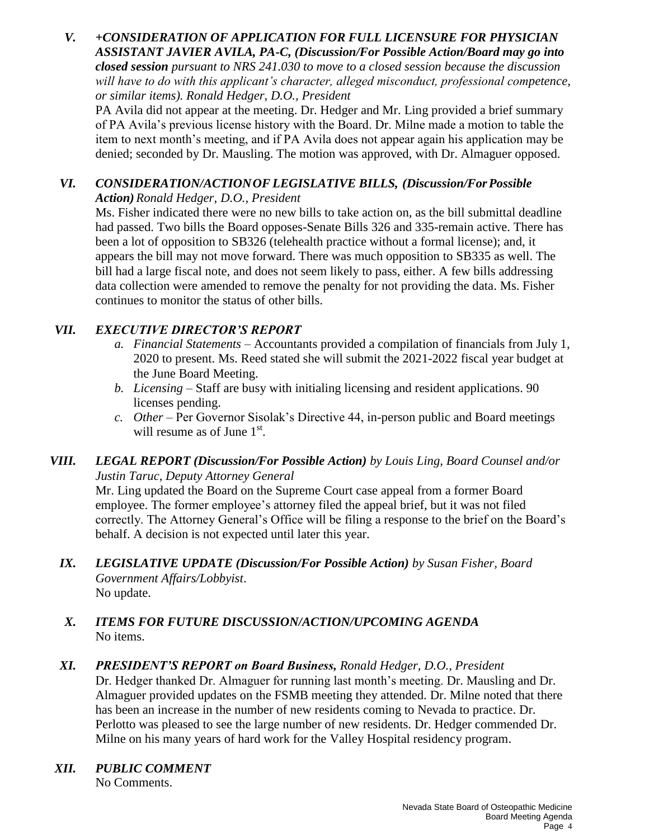#### *V. +CONSIDERATION OF APPLICATION FOR FULL LICENSURE FOR PHYSICIAN ASSISTANT JAVIER AVILA, PA-C, (Discussion/For Possible Action/Board may go into closed session pursuant to NRS 241.030 to move to a closed session because the discussion will have to do with this applicant's character, alleged misconduct, professional competence, or similar items). Ronald Hedger, D.O., President*

PA Avila did not appear at the meeting. Dr. Hedger and Mr. Ling provided a brief summary of PA Avila's previous license history with the Board. Dr. Milne made a motion to table the item to next month's meeting, and if PA Avila does not appear again his application may be denied; seconded by Dr. Mausling. The motion was approved, with Dr. Almaguer opposed.

### *VI. CONSIDERATION/ACTIONOF LEGISLATIVE BILLS, (Discussion/ForPossible Action)Ronald Hedger, D.O., President*

Ms. Fisher indicated there were no new bills to take action on, as the bill submittal deadline had passed. Two bills the Board opposes-Senate Bills 326 and 335-remain active. There has been a lot of opposition to SB326 (telehealth practice without a formal license); and, it appears the bill may not move forward. There was much opposition to SB335 as well. The bill had a large fiscal note, and does not seem likely to pass, either. A few bills addressing data collection were amended to remove the penalty for not providing the data. Ms. Fisher continues to monitor the status of other bills.

## *VII. EXECUTIVE DIRECTOR'S REPORT*

- *a. Financial Statements* Accountants provided a compilation of financials from July 1, 2020 to present. Ms. Reed stated she will submit the 2021-2022 fiscal year budget at the June Board Meeting.
- *b. Licensing* Staff are busy with initialing licensing and resident applications. 90 licenses pending.
- *c. Other* Per Governor Sisolak's Directive 44, in-person public and Board meetings will resume as of June  $1<sup>st</sup>$ .

### *VIII. LEGAL REPORT (Discussion/For Possible Action) by Louis Ling, Board Counsel and/or Justin Taruc, Deputy Attorney General*

Mr. Ling updated the Board on the Supreme Court case appeal from a former Board employee. The former employee's attorney filed the appeal brief, but it was not filed correctly. The Attorney General's Office will be filing a response to the brief on the Board's behalf. A decision is not expected until later this year.

*IX. LEGISLATIVE UPDATE (Discussion/For Possible Action) by Susan Fisher, Board Government Affairs/Lobbyist*. No update.

### *X. ITEMS FOR FUTURE DISCUSSION/ACTION/UPCOMING AGENDA* No items.

## *XI. PRESIDENT'S REPORT on Board Business, Ronald Hedger, D.O., President*

Dr. Hedger thanked Dr. Almaguer for running last month's meeting. Dr. Mausling and Dr. Almaguer provided updates on the FSMB meeting they attended. Dr. Milne noted that there has been an increase in the number of new residents coming to Nevada to practice. Dr. Perlotto was pleased to see the large number of new residents. Dr. Hedger commended Dr. Milne on his many years of hard work for the Valley Hospital residency program.

*XII. PUBLIC COMMENT* No Comments.